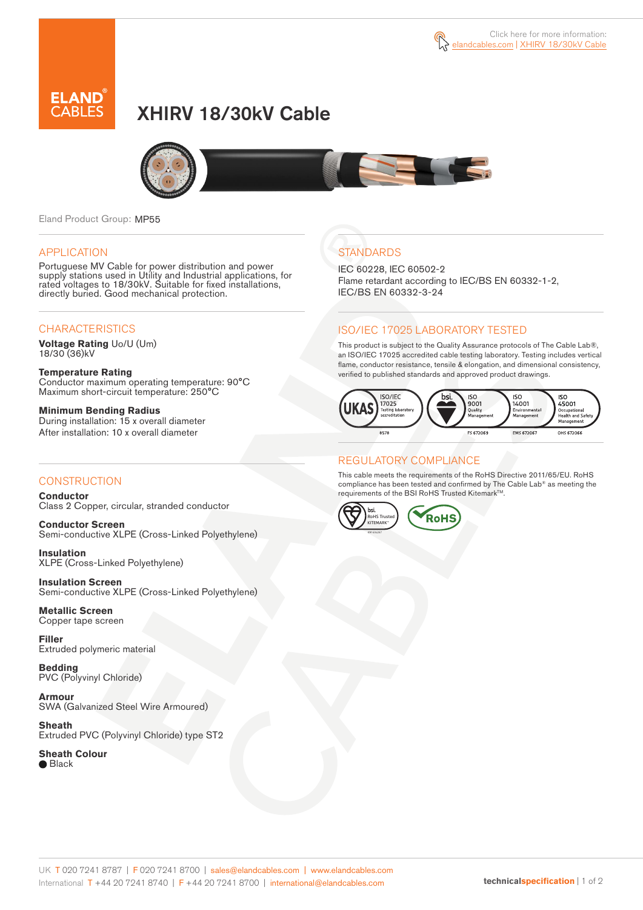



# XHIRV 18/30kV Cable



Eland Product Group: MP55

#### APPLICATION

Portuguese MV Cable for power distribution and power supply stations used in Utility and Industrial applications, for rated voltages to 18/30kV. Suitable for fixed installations, directly buried. Good mechanical protection.

### **CHARACTERISTICS**

**Voltage Rating** Uo/U (Um) 18/30 (36)kV

**Temperature Rating** Conductor maximum operating temperature: 90°C Maximum short-circuit temperature: 250°C

**Minimum Bending Radius** During installation: 15 x overall diameter After installation: 10 x overall diameter

### **CONSTRUCTION**

**Conductor** Class 2 Copper, circular, stranded conductor

**Conductor Screen** Semi-conductive XLPE (Cross-Linked Polyethylene)

**Insulation** XLPE (Cross-Linked Polyethylene)

**Insulation Screen** Semi-conductive XLPE (Cross-Linked Polyethylene)

**Metallic Screen** Copper tape screen

**Filler** Extruded polymeric material

**Bedding** PVC (Polyvinyl Chloride)

**Armour** SWA (Galvanized Steel Wire Armoured)

**Sheath** Extruded PVC (Polyvinyl Chloride) type ST2

**Sheath Colour**

● Black

## **STANDARDS**

IEC 60228, IEC 60502-2 Flame retardant according to IEC/BS EN 60332-1-2, IEC/BS EN 60332-3-24

### ISO/IEC 17025 LABORATORY TESTED

This product is subject to the Quality Assurance protocols of The Cable Lab®, an ISO/IEC 17025 accredited cable testing laboratory. Testing includes vertical flame, conductor resistance, tensile & elongation, and dimensional consistency, verified to published standards and approved product drawings.



### REGULATORY COMPLIANCE

This cable meets the requirements of the RoHS Directive 2011/65/EU. RoHS compliance has been tested and confirmed by The Cable Lab® as meeting the requirements of the BSI RoHS Trusted Kitemark™.